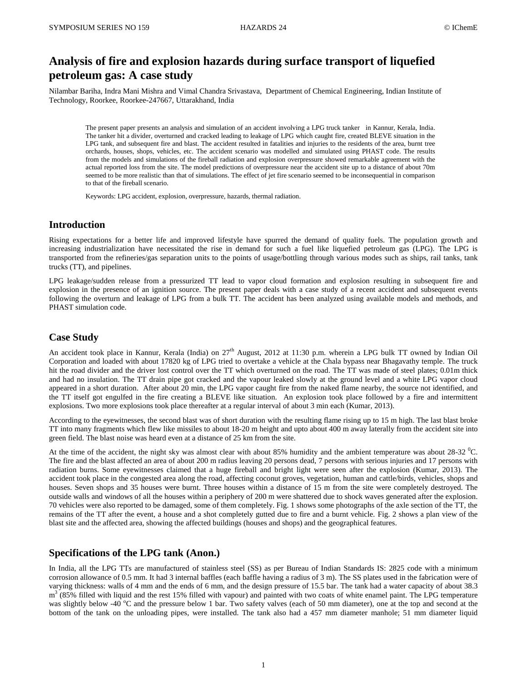# **Analysis of fire and explosion hazards during surface transport of liquefied petroleum gas: A case study**

Nilambar Bariha, Indra Mani Mishra and Vimal Chandra Srivastava, Department of Chemical Engineering, Indian Institute of Technology, Roorkee, Roorkee-247667, Uttarakhand, India

The present paper presents an analysis and simulation of an accident involving a LPG truck tanker in Kannur, Kerala, India. The tanker hit a divider, overturned and cracked leading to leakage of LPG which caught fire, created BLEVE situation in the LPG tank, and subsequent fire and blast. The accident resulted in fatalities and injuries to the residents of the area, burnt tree orchards, houses, shops, vehicles, etc. The accident scenario was modelled and simulated using PHAST code. The results from the models and simulations of the fireball radiation and explosion overpressure showed remarkable agreement with the actual reported loss from the site. The model predictions of overpressure near the accident site up to a distance of about 70m seemed to be more realistic than that of simulations. The effect of jet fire scenario seemed to be inconsequential in comparison to that of the fireball scenario.

Keywords: LPG accident, explosion, overpressure, hazards, thermal radiation.

## **Introduction**

Rising expectations for a better life and improved lifestyle have spurred the demand of quality fuels. The population growth and increasing industrialization have necessitated the rise in demand for such a fuel like liquefied petroleum gas (LPG). The LPG is transported from the refineries/gas separation units to the points of usage/bottling through various modes such as ships, rail tanks, tank trucks (TT), and pipelines.

LPG leakage/sudden release from a pressurized TT lead to vapor cloud formation and explosion resulting in subsequent fire and explosion in the presence of an ignition source. The present paper deals with a case study of a recent accident and subsequent events following the overturn and leakage of LPG from a bulk TT. The accident has been analyzed using available models and methods, and PHAST simulation code.

# **Case Study**

An accident took place in Kannur, Kerala (India) on 27<sup>th</sup> August, 2012 at 11:30 p.m. wherein a LPG bulk TT owned by Indian Oil Corporation and loaded with about 17820 kg of LPG tried to overtake a vehicle at the Chala bypass near Bhagavathy temple. The truck hit the road divider and the driver lost control over the TT which overturned on the road. The TT was made of steel plates; 0.01m thick and had no insulation. The TT drain pipe got cracked and the vapour leaked slowly at the ground level and a white LPG vapor cloud appeared in a short duration. After about 20 min, the LPG vapor caught fire from the naked flame nearby, the source not identified, and the TT itself got engulfed in the fire creating a BLEVE like situation. An explosion took place followed by a fire and intermittent explosions. Two more explosions took place thereafter at a regular interval of about 3 min each (Kumar, 2013).

According to the eyewitnesses, the second blast was of short duration with the resulting flame rising up to 15 m high. The last blast broke TT into many fragments which flew like missiles to about 18-20 m height and upto about 400 m away laterally from the accident site into green field. The blast noise was heard even at a distance of 25 km from the site.

At the time of the accident, the night sky was almost clear with about 85% humidity and the ambient temperature was about  $28-32$  °C. The fire and the blast affected an area of about 200 m radius leaving 20 persons dead, 7 persons with serious injuries and 17 persons with radiation burns. Some eyewitnesses claimed that a huge fireball and bright light were seen after the explosion (Kumar, 2013). The accident took place in the congested area along the road, affecting coconut groves, vegetation, human and cattle/birds, vehicles, shops and houses. Seven shops and 35 houses were burnt. Three houses within a distance of 15 m from the site were completely destroyed. The outside walls and windows of all the houses within a periphery of 200 m were shattered due to shock waves generated after the explosion. 70 vehicles were also reported to be damaged, some of them completely. Fig. 1 shows some photographs of the axle section of the TT, the remains of the TT after the event, a house and a shot completely gutted due to fire and a burnt vehicle. Fig. 2 shows a plan view of the blast site and the affected area, showing the affected buildings (houses and shops) and the geographical features.

# **Specifications of the LPG tank (Anon.)**

In India, all the LPG TTs are manufactured of stainless steel (SS) as per Bureau of Indian Standards IS: 2825 code with a minimum corrosion allowance of 0.5 mm. It had 3 internal baffles (each baffle having a radius of 3 m). The SS plates used in the fabrication were of varying thickness: walls of 4 mm and the ends of 6 mm, and the design pressure of 15.5 bar. The tank had a water capacity of about 38.3 m<sup>3</sup> (85% filled with liquid and the rest 15% filled with vapour) and painted with two coats of white enamel paint. The LPG temperature was slightly below -40  $^{\circ}$ C and the pressure below 1 bar. Two safety valves (each of 50 mm diameter), one at the top and second at the bottom of the tank on the unloading pipes, were installed. The tank also had a 457 mm diameter manhole; 51 mm diameter liquid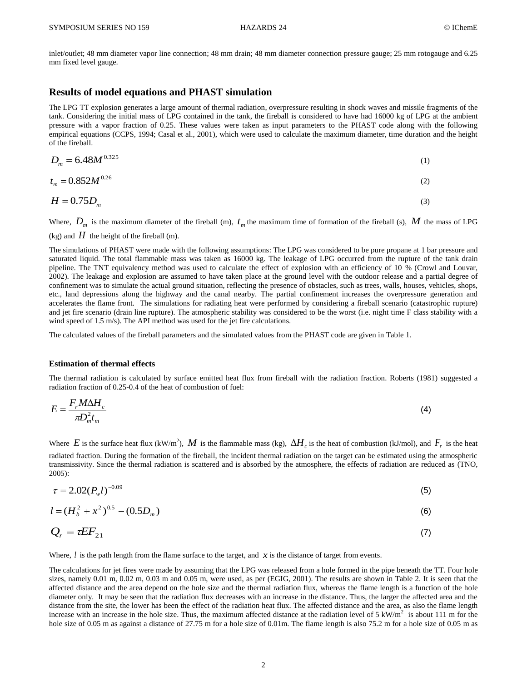inlet/outlet; 48 mm diameter vapor line connection; 48 mm drain; 48 mm diameter connection pressure gauge; 25 mm rotogauge and 6.25 mm fixed level gauge.

## **Results of model equations and PHAST simulation**

The LPG TT explosion generates a large amount of thermal radiation, overpressure resulting in shock waves and missile fragments of the tank. Considering the initial mass of LPG contained in the tank, the fireball is considered to have had 16000 kg of LPG at the ambient pressure with a vapor fraction of 0.25. These values were taken as input parameters to the PHAST code along with the following empirical equations (CCPS, 1994; Casal et al., 2001), which were used to calculate the maximum diameter, time duration and the height of the fireball.

$$
D_m = 6.48M^{0.325} \tag{1}
$$

$$
t_m = 0.852M^{0.26} \tag{2}
$$

$$
H = 0.75D_m \tag{3}
$$

Where,  $D_m$  is the maximum diameter of the fireball (m),  $t_m$  the maximum time of formation of the fireball (s), M the mass of LPG

 $(kg)$  and  $H$  the height of the fireball (m).

The simulations of PHAST were made with the following assumptions: The LPG was considered to be pure propane at 1 bar pressure and saturated liquid. The total flammable mass was taken as 16000 kg. The leakage of LPG occurred from the rupture of the tank drain pipeline. The TNT equivalency method was used to calculate the effect of explosion with an efficiency of 10 % (Crowl and Louvar, 2002). The leakage and explosion are assumed to have taken place at the ground level with the outdoor release and a partial degree of confinement was to simulate the actual ground situation, reflecting the presence of obstacles, such as trees, walls, houses, vehicles, shops, etc., land depressions along the highway and the canal nearby. The partial confinement increases the overpressure generation and accelerates the flame front. The simulations for radiating heat were performed by considering a fireball scenario (catastrophic rupture) and jet fire scenario (drain line rupture). The atmospheric stability was considered to be the worst (i.e. night time F class stability with a wind speed of 1.5 m/s). The API method was used for the jet fire calculations.

The calculated values of the fireball parameters and the simulated values from the PHAST code are given in Table 1.

### **Estimation of thermal effects**

The thermal radiation is calculated by surface emitted heat flux from fireball with the radiation fraction. Roberts (1981) suggested a radiation fraction of 0.25-0.4 of the heat of combustion of fuel:

$$
E = \frac{F_r M \Delta H_c}{\pi D_m^2 t_m} \tag{4}
$$

Where E is the surface heat flux (kW/m<sup>2</sup>), M is the flammable mass (kg),  $\Delta H_c$  is the heat of combustion (kJ/mol), and  $F_r$  is the heat radiated fraction. During the formation of the fireball, the incident thermal radiation on the target can be estimated using the atmospheric transmissivity. Since the thermal radiation is scattered and is absorbed by the atmosphere, the effects of radiation are reduced as (TNO, 2005):

$$
\tau = 2.02(P_w l)^{-0.09} \tag{5}
$$

$$
l = (H_b^2 + x^2)^{0.5} - (0.5D_m)
$$
 (6)

$$
Q_r = \tau E F_{21} \tag{7}
$$

Where,  $l$  is the path length from the flame surface to the target, and  $x$  is the distance of target from events.

The calculations for jet fires were made by assuming that the LPG was released from a hole formed in the pipe beneath the TT. Four hole sizes, namely 0.01 m, 0.02 m, 0.03 m and 0.05 m, were used, as per (EGIG, 2001). The results are shown in Table 2. It is seen that the affected distance and the area depend on the hole size and the thermal radiation flux, whereas the flame length is a function of the hole diameter only. It may be seen that the radiation flux decreases with an increase in the distance. Thus, the larger the affected area and the distance from the site, the lower has been the effect of the radiation heat flux. The affected distance and the area, as also the flame length increase with an increase in the hole size. Thus, the maximum affected distance at the radiation level of  $5 \text{ kW/m}^2$  is about 111 m for the hole size of 0.05 m as against a distance of 27.75 m for a hole size of 0.01m. The flame length is also 75.2 m for a hole size of 0.05 m as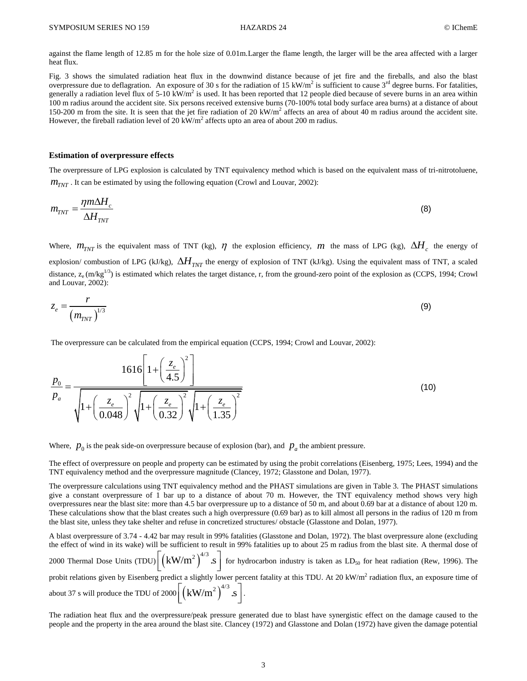against the flame length of 12.85 m for the hole size of 0.01m.Larger the flame length, the larger will be the area affected with a larger heat flux.

Fig. 3 shows the simulated radiation heat flux in the downwind distance because of jet fire and the fireballs, and also the blast overpressure due to deflagration. An exposure of 30 s for the radiation of 15 kW/m<sup>2</sup> is sufficient to cause  $3<sup>rd</sup>$  degree burns. For fatalities, generally a radiation level flux of 5-10 kW/m<sup>2</sup> is used. It has been reported that 12 people died because of severe burns in an area within 100 m radius around the accident site. Six persons received extensive burns (70-100% total body surface area burns) at a distance of about 150-200 m from the site. It is seen that the jet fire radiation of 20  $kW/m<sup>2</sup>$  affects an area of about 40 m radius around the accident site. However, the fireball radiation level of 20 kW/m<sup>2</sup> affects upto an area of about 200 m radius.

### **Estimation of overpressure effects**

The overpressure of LPG explosion is calculated by TNT equivalency method which is based on the equivalent mass of tri-nitrotoluene,  $m_{TNT}$ . It can be estimated by using the following equation (Crowl and Louvar, 2002):

$$
m_{TNT} = \frac{\eta m \Delta H_c}{\Delta H_{TNT}}\tag{8}
$$

Where,  $m_{TNT}$  is the equivalent mass of TNT (kg),  $\eta$  the explosion efficiency,  $m$  the mass of LPG (kg),  $\Delta H_c$  the energy of explosion/combustion of LPG (kJ/kg),  $\Delta H_{\rm\scriptscriptstyle TNT}$  the energy of explosion of TNT (kJ/kg). Using the equivalent mass of TNT, a scaled distance,  $z_e$  (m/kg<sup>1/3</sup>) is estimated which relates the target distance, r, from the ground-zero point of the explosion as (CCPS, 1994; Crowl and Louvar, 2002):

$$
z_e = \frac{r}{\left(m_{TNT}\right)^{1/3}}\tag{9}
$$

The overpressure can be calculated from the empirical equation (CCPS, 1994; Crowl and Louvar, 2002):  
\n
$$
\frac{p_0}{p_a} = \frac{1616 \left[1 + \left(\frac{z_e}{4.5}\right)^2\right]}{\sqrt{1 + \left(\frac{z_e}{0.048}\right)^2 \sqrt{1 + \left(\frac{z_e}{0.32}\right)^2 \sqrt{1 + \left(\frac{z_e}{1.35}\right)^2}}}}
$$
\n(10)

Where,  $p_0$  is the peak side-on overpressure because of explosion (bar), and  $p_a$  the ambient pressure.

The effect of overpressure on people and property can be estimated by using the probit correlations (Eisenberg, 1975; Lees, 1994) and the TNT equivalency method and the overpressure magnitude (Clancey, 1972; Glasstone and Dolan, 1977).

The overpressure calculations using TNT equivalency method and the PHAST simulations are given in Table 3. The PHAST simulations give a constant overpressure of 1 bar up to a distance of about 70 m. However, the TNT equivalency method shows very high overpressures near the blast site: more than 4.5 bar overpressure up to a distance of 50 m, and about 0.69 bar at a distance of about 120 m. These calculations show that the blast creates such a high overpressure (0.69 bar) as to kill almost all persons in the radius of 120 m from the blast site, unless they take shelter and refuse in concretized structures/ obstacle (Glasstone and Dolan, 1977).

A blast overpressure of 3.74 - 4.42 bar may result in 99% fatalities (Glasstone and Dolan, 1972). The blast overpressure alone (excluding the effect of wind in its wake) will be sufficient to result in 99% fatalities up to about 25 m radius from the blast site. A thermal dose of 2000 Thermal Dose Units (TDU) $\left[\left(kW/m^2\right)^{4/3} \simeq \right]$  for hydrocarbon industry is taken as  $LD_{50}$  for heat radiation (Rew, 1996). The probit relations given by Eisenberg predict a slightly lower percent fatality at this TDU. At 20 kW/m<sup>2</sup> radiation flux, an exposure time of about 37 s will produce the TDU of 2000 $\left[ \left( \text{kW/m}^2 \right)^{4/3}$ . S  $\right]$ .

The radiation heat flux and the overpressure/peak pressure generated due to blast have synergistic effect on the damage caused to the people and the property in the area around the blast site. Clancey (1972) and Glasstone and Dolan (1972) have given the damage potential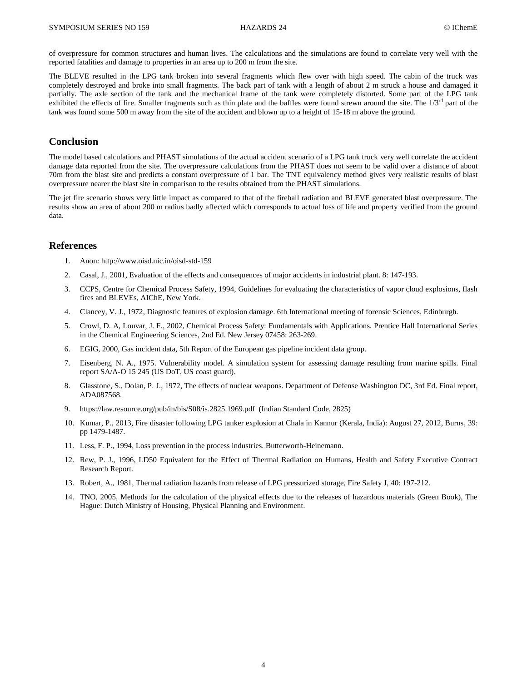of overpressure for common structures and human lives. The calculations and the simulations are found to correlate very well with the reported fatalities and damage to properties in an area up to 200 m from the site.

The BLEVE resulted in the LPG tank broken into several fragments which flew over with high speed. The cabin of the truck was completely destroyed and broke into small fragments. The back part of tank with a length of about 2 m struck a house and damaged it partially. The axle section of the tank and the mechanical frame of the tank were completely distorted. Some part of the LPG tank exhibited the effects of fire. Smaller fragments such as thin plate and the baffles were found strewn around the site. The 1/3<sup>rd</sup> part of the tank was found some 500 m away from the site of the accident and blown up to a height of 15-18 m above the ground.

# **Conclusion**

The model based calculations and PHAST simulations of the actual accident scenario of a LPG tank truck very well correlate the accident damage data reported from the site. The overpressure calculations from the PHAST does not seem to be valid over a distance of about 70m from the blast site and predicts a constant overpressure of 1 bar. The TNT equivalency method gives very realistic results of blast overpressure nearer the blast site in comparison to the results obtained from the PHAST simulations.

The jet fire scenario shows very little impact as compared to that of the fireball radiation and BLEVE generated blast overpressure. The results show an area of about 200 m radius badly affected which corresponds to actual loss of life and property verified from the ground data.

# **References**

- 1. Anon: <http://www.oisd.nic.in/oisd-std-159>
- 2. Casal, J., 2001, Evaluation of the effects and consequences of major accidents in industrial plant. 8: 147-193.
- 3. CCPS, Centre for Chemical Process Safety, 1994, Guidelines for evaluating the characteristics of vapor cloud explosions, flash fires and BLEVEs, AIChE, New York.
- 4. Clancey, V. J., 1972, Diagnostic features of explosion damage. 6th International meeting of forensic Sciences, Edinburgh.
- 5. Crowl, D. A, Louvar, J. F., 2002, Chemical Process Safety: Fundamentals with Applications. Prentice Hall International Series in the Chemical Engineering Sciences, 2nd Ed. New Jersey 07458: 263-269.
- 6. EGIG, 2000, Gas incident data, 5th Report of the European gas pipeline incident data group.
- 7. Eisenberg, N. A., 1975. Vulnerability model. A simulation system for assessing damage resulting from marine spills. Final report SA/A-O 15 245 (US DoT, US coast guard).
- 8. Glasstone, S., Dolan, P. J., 1972, The effects of nuclear weapons. Department of Defense Washington DC, 3rd Ed. Final report, ADA087568.
- 9. <https://law.resource.org/pub/in/bis/S08/is.2825.1969.pdf>(Indian Standard Code, 2825)
- 10. Kumar, P., 2013, Fire disaster following LPG tanker explosion at Chala in Kannur (Kerala, India): August 27, 2012, Burns, 39: pp 1479-1487.
- 11. Less, F. P., 1994, Loss prevention in the process industries. Butterworth-Heinemann.
- 12. Rew, P. J., 1996, LD50 Equivalent for the Effect of Thermal Radiation on Humans, Health and Safety Executive Contract Research Report.
- 13. Robert, A., 1981, Thermal radiation hazards from release of LPG pressurized storage, Fire Safety J, 40: 197-212.
- 14. TNO, 2005, Methods for the calculation of the physical effects due to the releases of hazardous materials (Green Book), The Hague: Dutch Ministry of Housing, Physical Planning and Environment.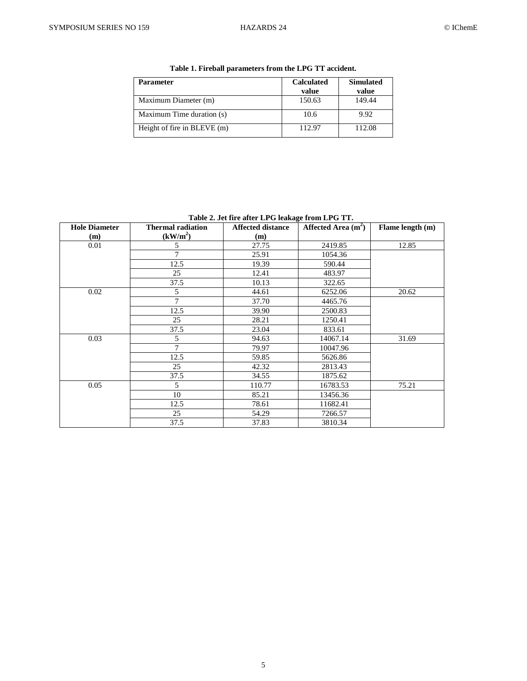| <b>Parameter</b>            | <b>Calculated</b> | <b>Simulated</b> |
|-----------------------------|-------------------|------------------|
|                             | value             | value            |
| Maximum Diameter (m)        | 150.63            | 149.44           |
| Maximum Time duration (s)   | 10.6              | 9.92             |
| Height of fire in BLEVE (m) | 112.97            | 112.08           |

**Table 1. Fireball parameters from the LPG TT accident.**

**Table 2. Jet fire after LPG leakage from LPG TT.**

| <b>Hole Diameter</b> | <b>Thermal radiation</b> | <b>Affected distance</b> | Affected Area $(m2)$ | Flame length (m) |
|----------------------|--------------------------|--------------------------|----------------------|------------------|
| (m)                  | (kW/m <sup>2</sup> )     | (m)                      |                      |                  |
| 0.01                 | 5                        | 27.75                    | 2419.85              | 12.85            |
|                      | 7                        | 25.91                    | 1054.36              |                  |
|                      | 12.5                     | 19.39                    | 590.44               |                  |
|                      | 25                       | 12.41                    | 483.97               |                  |
|                      | 37.5                     | 10.13                    | 322.65               |                  |
| 0.02                 | 5                        | 44.61                    | 6252.06              | 20.62            |
|                      | $\tau$                   | 37.70                    | 4465.76              |                  |
|                      | 12.5                     | 39.90                    | 2500.83              |                  |
|                      | 25                       | 28.21                    | 1250.41              |                  |
|                      | 37.5                     | 23.04                    | 833.61               |                  |
| 0.03                 | 5                        | 94.63                    | 14067.14             | 31.69            |
|                      | 7                        | 79.97                    | 10047.96             |                  |
|                      | 12.5                     | 59.85                    | 5626.86              |                  |
|                      | 25                       | 42.32                    | 2813.43              |                  |
|                      | 37.5                     | 34.55                    | 1875.62              |                  |
| 0.05                 | 5                        | 110.77                   | 16783.53             | 75.21            |
|                      | 10                       | 85.21                    | 13456.36             |                  |
|                      | 12.5                     | 78.61                    | 11682.41             |                  |
|                      | 25                       | 54.29                    | 7266.57              |                  |
|                      | 37.5                     | 37.83                    | 3810.34              |                  |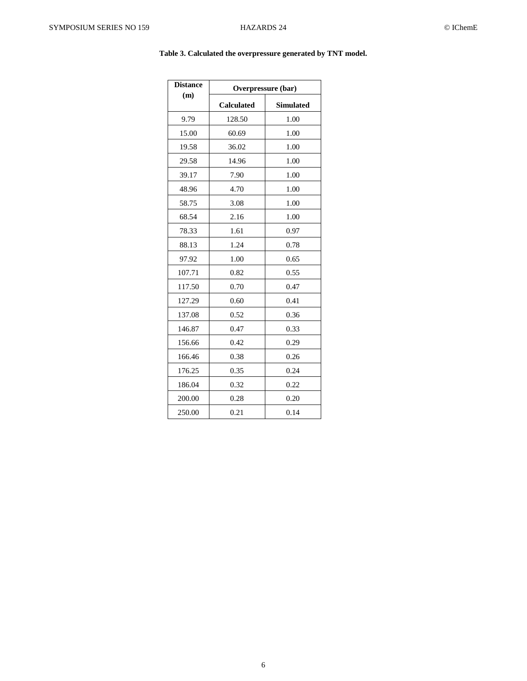| <b>Distance</b> | Overpressure (bar) |                  |  |
|-----------------|--------------------|------------------|--|
| (m)             | <b>Calculated</b>  | <b>Simulated</b> |  |
| 9.79            | 128.50             | 1.00             |  |
| 15.00           | 60.69              | 1.00             |  |
| 19.58           | 36.02              | 1.00             |  |
| 29.58           | 14.96              | 1.00             |  |
| 39.17           | 7.90               | 1.00             |  |
| 48.96           | 4.70               | 1.00             |  |
| 58.75           | 3.08               | 1.00             |  |
| 68.54           | 2.16               | 1.00             |  |
| 78.33           | 1.61               | 0.97             |  |
| 88.13           | 1.24               | 0.78             |  |
| 97.92           | 1.00               | 0.65             |  |
| 107.71          | 0.82               | 0.55             |  |
| 117.50          | 0.70               | 0.47             |  |
| 127.29          | 0.60               | 0.41             |  |
| 137.08          | 0.52               | 0.36             |  |
| 146.87          | 0.47               | 0.33             |  |
| 156.66          | 0.42               | 0.29             |  |
| 166.46          | 0.38               | 0.26             |  |
| 176.25          | 0.35               | 0.24             |  |
| 186.04          | 0.32               | 0.22             |  |
| 200.00          | 0.28               | 0.20             |  |
| 250.00          | 0.21               | 0.14             |  |

# **Table 3. Calculated the overpressure generated by TNT model.**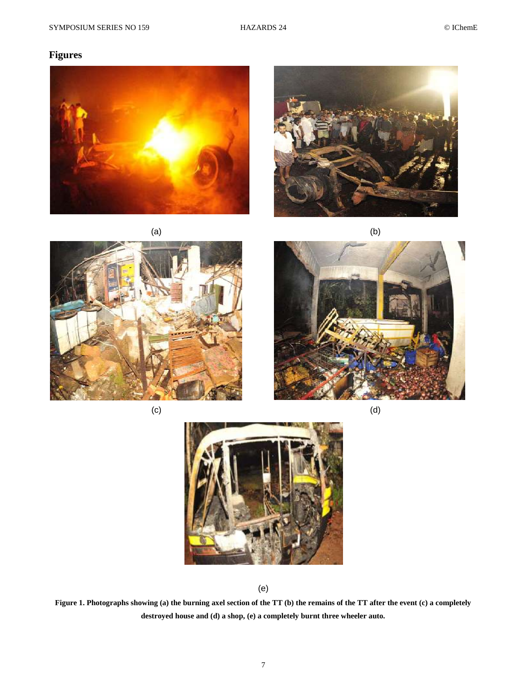# **Figures**













(e)

**Figure 1. Photographs showing (a) the burning axel section of the TT (b) the remains of the TT after the event (c) a completely destroyed house and (d) a shop, (e) a completely burnt three wheeler auto.**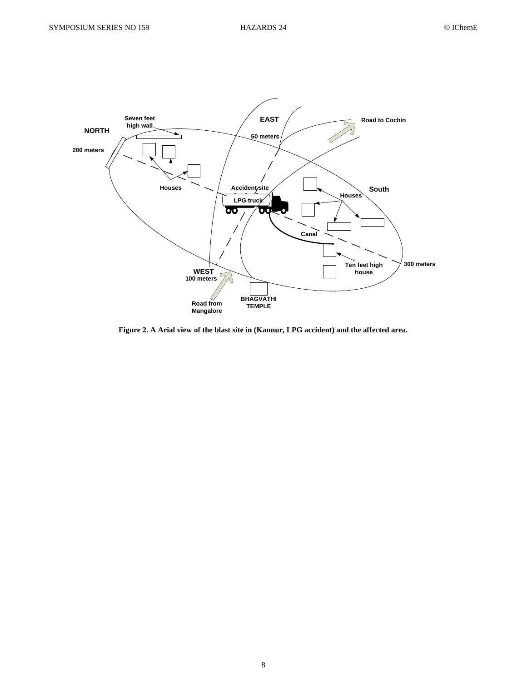

**Figure 2. A Arial view of the blast site in (Kannur, LPG accident) and the affected area.**